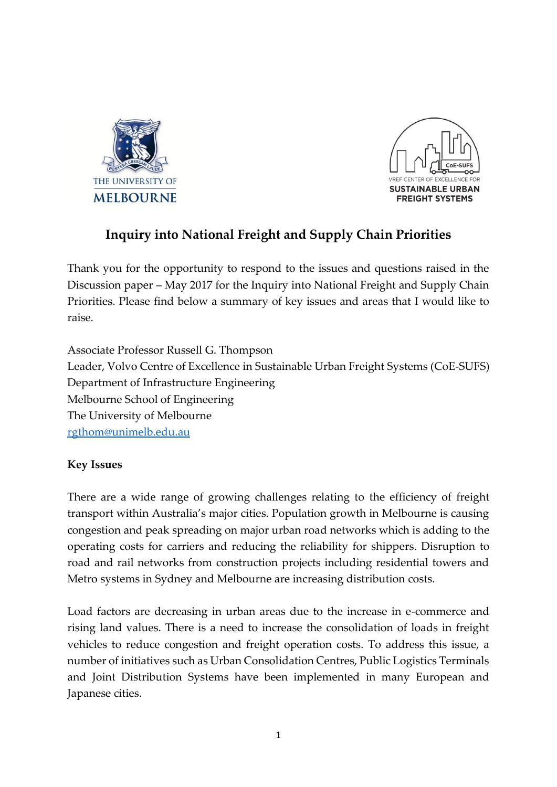



# **Inquiry into National Freight and Supply Chain Priorities**

Thank you for the opportunity to respond to the issues and questions raised in the Discussion paper – May 2017 for the Inquiry into National Freight and Supply Chain Priorities. Please find below a summary of key issues and areas that I would like to raise.

Associate Professor Russell G. Thompson Leader, Volvo Centre of Excellence in Sustainable Urban Freight Systems (CoE-SUFS) Department of Infrastructure Engineering Melbourne School of Engineering The University of Melbourne [rgthom@unimelb.edu.au](mailto:rgthom@unimelb.edu.au)

### **Key Issues**

There are a wide range of growing challenges relating to the efficiency of freight transport within Australia's major cities. Population growth in Melbourne is causing congestion and peak spreading on major urban road networks which is adding to the operating costs for carriers and reducing the reliability for shippers. Disruption to road and rail networks from construction projects including residential towers and Metro systems in Sydney and Melbourne are increasing distribution costs.

Load factors are decreasing in urban areas due to the increase in e-commerce and rising land values. There is a need to increase the consolidation of loads in freight vehicles to reduce congestion and freight operation costs. To address this issue, a number of initiatives such as Urban Consolidation Centres, Public Logistics Terminals and Joint Distribution Systems have been implemented in many European and Japanese cities.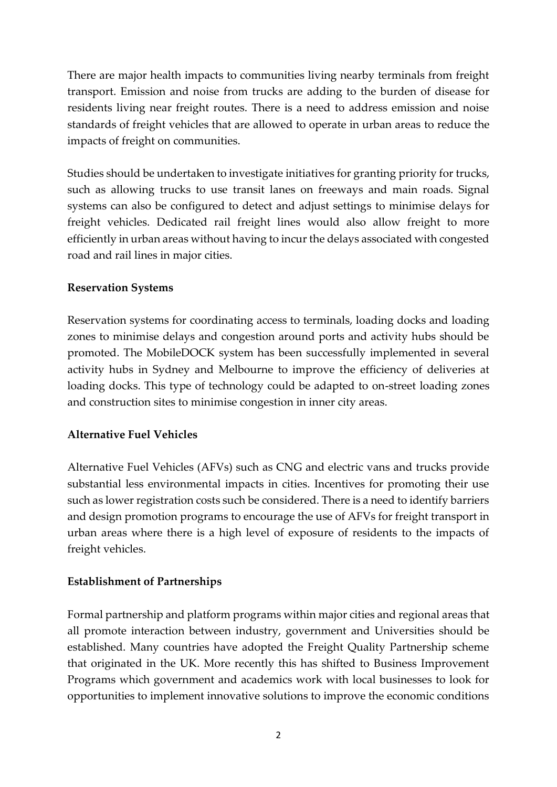There are major health impacts to communities living nearby terminals from freight transport. Emission and noise from trucks are adding to the burden of disease for residents living near freight routes. There is a need to address emission and noise standards of freight vehicles that are allowed to operate in urban areas to reduce the impacts of freight on communities.

Studies should be undertaken to investigate initiatives for granting priority for trucks, such as allowing trucks to use transit lanes on freeways and main roads. Signal systems can also be configured to detect and adjust settings to minimise delays for freight vehicles. Dedicated rail freight lines would also allow freight to more efficiently in urban areas without having to incur the delays associated with congested road and rail lines in major cities.

### **Reservation Systems**

Reservation systems for coordinating access to terminals, loading docks and loading zones to minimise delays and congestion around ports and activity hubs should be promoted. The MobileDOCK system has been successfully implemented in several activity hubs in Sydney and Melbourne to improve the efficiency of deliveries at loading docks. This type of technology could be adapted to on-street loading zones and construction sites to minimise congestion in inner city areas.

### **Alternative Fuel Vehicles**

Alternative Fuel Vehicles (AFVs) such as CNG and electric vans and trucks provide substantial less environmental impacts in cities. Incentives for promoting their use such as lower registration costs such be considered. There is a need to identify barriers and design promotion programs to encourage the use of AFVs for freight transport in urban areas where there is a high level of exposure of residents to the impacts of freight vehicles.

#### **Establishment of Partnerships**

Formal partnership and platform programs within major cities and regional areas that all promote interaction between industry, government and Universities should be established. Many countries have adopted the Freight Quality Partnership scheme that originated in the UK. More recently this has shifted to Business Improvement Programs which government and academics work with local businesses to look for opportunities to implement innovative solutions to improve the economic conditions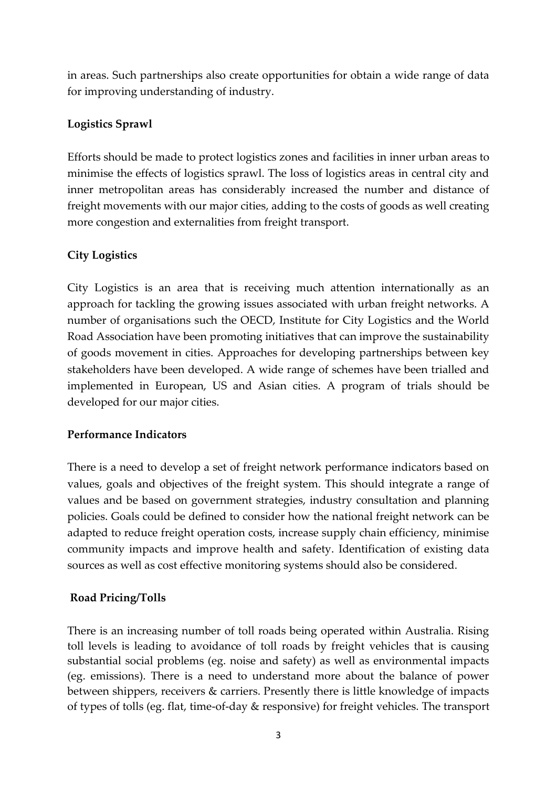in areas. Such partnerships also create opportunities for obtain a wide range of data for improving understanding of industry.

### **Logistics Sprawl**

Efforts should be made to protect logistics zones and facilities in inner urban areas to minimise the effects of logistics sprawl. The loss of logistics areas in central city and inner metropolitan areas has considerably increased the number and distance of freight movements with our major cities, adding to the costs of goods as well creating more congestion and externalities from freight transport.

## **City Logistics**

City Logistics is an area that is receiving much attention internationally as an approach for tackling the growing issues associated with urban freight networks. A number of organisations such the OECD, Institute for City Logistics and the World Road Association have been promoting initiatives that can improve the sustainability of goods movement in cities. Approaches for developing partnerships between key stakeholders have been developed. A wide range of schemes have been trialled and implemented in European, US and Asian cities. A program of trials should be developed for our major cities.

### **Performance Indicators**

There is a need to develop a set of freight network performance indicators based on values, goals and objectives of the freight system. This should integrate a range of values and be based on government strategies, industry consultation and planning policies. Goals could be defined to consider how the national freight network can be adapted to reduce freight operation costs, increase supply chain efficiency, minimise community impacts and improve health and safety. Identification of existing data sources as well as cost effective monitoring systems should also be considered.

## **Road Pricing/Tolls**

There is an increasing number of toll roads being operated within Australia. Rising toll levels is leading to avoidance of toll roads by freight vehicles that is causing substantial social problems (eg. noise and safety) as well as environmental impacts (eg. emissions). There is a need to understand more about the balance of power between shippers, receivers & carriers. Presently there is little knowledge of impacts of types of tolls (eg. flat, time-of-day & responsive) for freight vehicles. The transport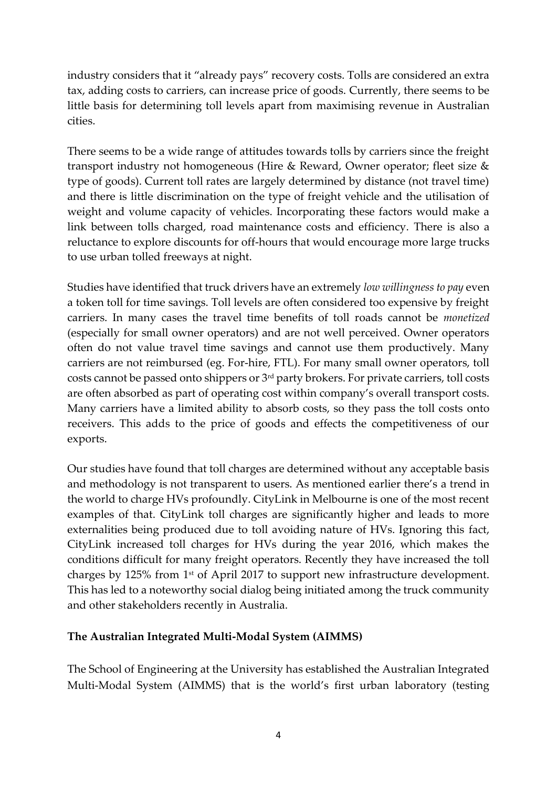industry considers that it "already pays" recovery costs. Tolls are considered an extra tax, adding costs to carriers, can increase price of goods. Currently, there seems to be little basis for determining toll levels apart from maximising revenue in Australian cities.

There seems to be a wide range of attitudes towards tolls by carriers since the freight transport industry not homogeneous (Hire & Reward, Owner operator; fleet size & type of goods). Current toll rates are largely determined by distance (not travel time) and there is little discrimination on the type of freight vehicle and the utilisation of weight and volume capacity of vehicles. Incorporating these factors would make a link between tolls charged, road maintenance costs and efficiency. There is also a reluctance to explore discounts for off-hours that would encourage more large trucks to use urban tolled freeways at night.

Studies have identified that truck drivers have an extremely *low willingness to pay* even a token toll for time savings. Toll levels are often considered too expensive by freight carriers. In many cases the travel time benefits of toll roads cannot be *monetized* (especially for small owner operators) and are not well perceived. Owner operators often do not value travel time savings and cannot use them productively. Many carriers are not reimbursed (eg. For-hire, FTL). For many small owner operators, toll costs cannot be passed onto shippers or 3rd party brokers. For private carriers, toll costs are often absorbed as part of operating cost within company's overall transport costs. Many carriers have a limited ability to absorb costs, so they pass the toll costs onto receivers. This adds to the price of goods and effects the competitiveness of our exports.

Our studies have found that toll charges are determined without any acceptable basis and methodology is not transparent to users. As mentioned earlier there's a trend in the world to charge HVs profoundly. CityLink in Melbourne is one of the most recent examples of that. CityLink toll charges are significantly higher and leads to more externalities being produced due to toll avoiding nature of HVs. Ignoring this fact, CityLink increased toll charges for HVs during the year 2016, which makes the conditions difficult for many freight operators. Recently they have increased the toll charges by 125% from 1st of April 2017 to support new infrastructure development. This has led to a noteworthy social dialog being initiated among the truck community and other stakeholders recently in Australia.

### **The Australian Integrated Multi-Modal System (AIMMS)**

The School of Engineering at the University has established the Australian Integrated Multi-Modal System (AIMMS) that is the world's first urban laboratory (testing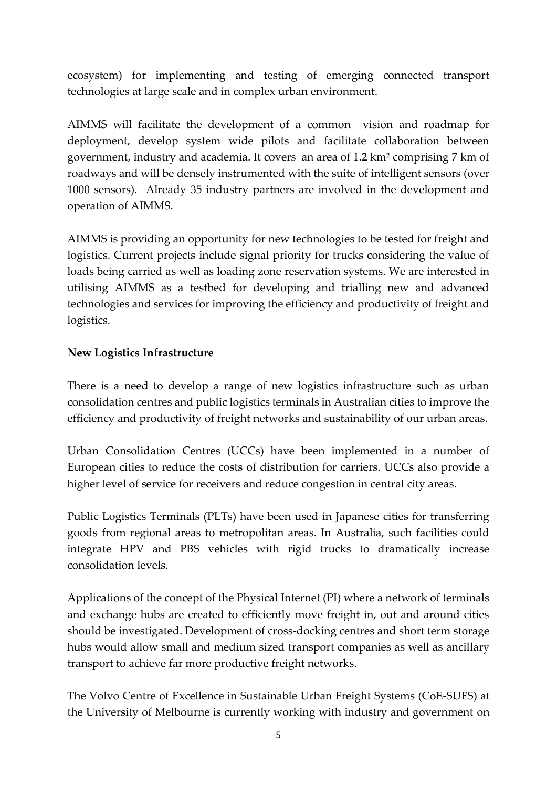ecosystem) for implementing and testing of emerging connected transport technologies at large scale and in complex urban environment.

AIMMS will facilitate the development of a common vision and roadmap for deployment, develop system wide pilots and facilitate collaboration between government, industry and academia. It covers an area of 1.2 km² comprising 7 km of roadways and will be densely instrumented with the suite of intelligent sensors (over 1000 sensors). Already 35 industry partners are involved in the development and operation of AIMMS.

AIMMS is providing an opportunity for new technologies to be tested for freight and logistics. Current projects include signal priority for trucks considering the value of loads being carried as well as loading zone reservation systems. We are interested in utilising AIMMS as a testbed for developing and trialling new and advanced technologies and services for improving the efficiency and productivity of freight and logistics.

### **New Logistics Infrastructure**

There is a need to develop a range of new logistics infrastructure such as urban consolidation centres and public logistics terminals in Australian cities to improve the efficiency and productivity of freight networks and sustainability of our urban areas.

Urban Consolidation Centres (UCCs) have been implemented in a number of European cities to reduce the costs of distribution for carriers. UCCs also provide a higher level of service for receivers and reduce congestion in central city areas.

Public Logistics Terminals (PLTs) have been used in Japanese cities for transferring goods from regional areas to metropolitan areas. In Australia, such facilities could integrate HPV and PBS vehicles with rigid trucks to dramatically increase consolidation levels.

Applications of the concept of the Physical Internet (PI) where a network of terminals and exchange hubs are created to efficiently move freight in, out and around cities should be investigated. Development of cross-docking centres and short term storage hubs would allow small and medium sized transport companies as well as ancillary transport to achieve far more productive freight networks.

The Volvo Centre of Excellence in Sustainable Urban Freight Systems (CoE-SUFS) at the University of Melbourne is currently working with industry and government on